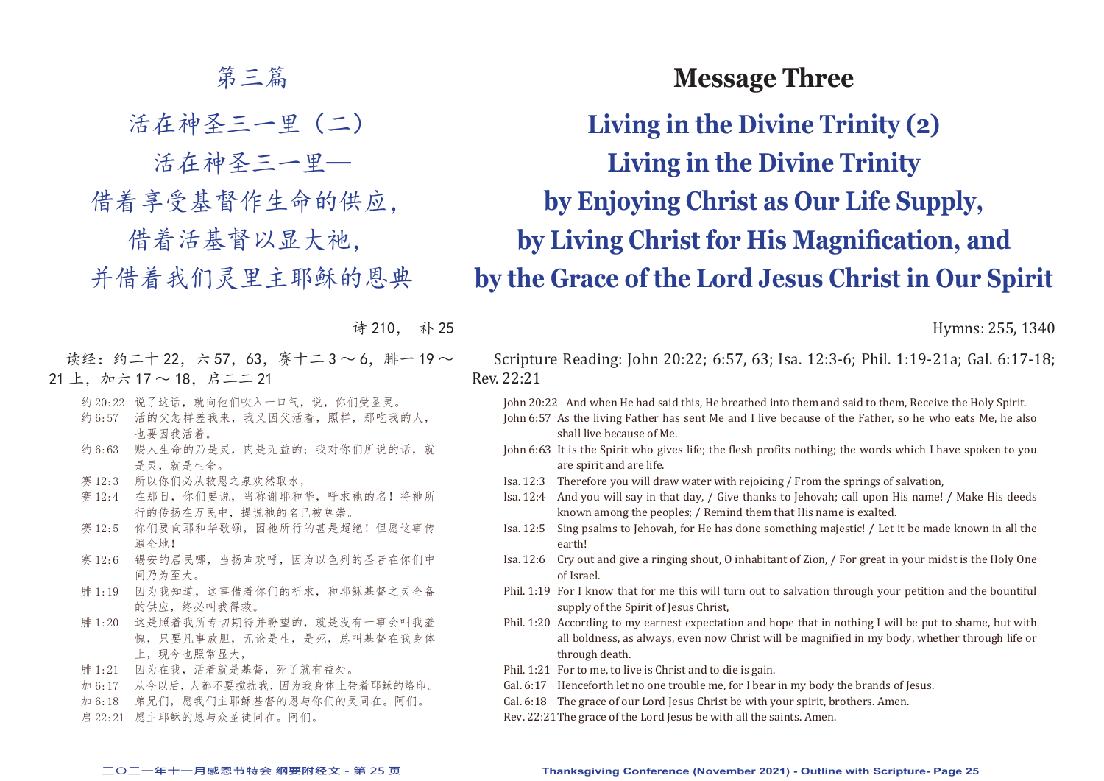## 第三篇

活在神圣三一里(二)

活在神圣三一里—

借着享受基督作生命的供应,

借着活基督以显大祂,

并借着我们灵里主耶稣的恩典

诗 210, 补 25

读经: 约二十 22, 六 57, 63, 赛十二 3 ~ 6, 腓一 19 ~  $21 \pm$ , 加六  $17 \sim 18$ , 启二二 21

- 约 20:22 说了这话, 就向他们吹入一口气, 说, 你们受圣灵。
- 约 6:57 活的父怎样差我来,我又因父活着,照样,那吃我的人, 也要因我活着。
- 约 6:63 赐人生命的乃是灵,肉是无益的;我对你们所说的话,就 是灵,就是生命。
- 赛 12:3 所以你们必从救恩之泉欢然取水,
- 赛 12:4 在那日, 你们要说, 当称谢耶和华, 呼求祂的名! 将祂所 行的传扬在万民中,提说祂的名已被尊崇。
- 赛 12:5 你们要向耶和华歌颂,因祂所行的甚是超绝!但愿这事传 遍全地!
- 赛 12:6 锡安的居民哪,当扬声欢呼,因为以色列的圣者在你们中 间乃为至大。
- 腓 1:19 因为我知道,这事借着你们的祈求,和耶稣基督之灵全备 的供应,终必叫我得救。
- 腓 1:20 这是照着我所专切期待并盼望的,就是没有一事会叫我羞 愧,只要凡事放胆,无论是生,是死,总叫基督在我身体 上,现今也照常显大,
- 腓 1:21 因为在我,活着就是基督,死了就有益处。
- 加 6:17 从今以后,人都不要搅扰我,因为我身体上带着耶稣的烙印。
- 加 6:18 弟兄们,愿我们主耶稣基督的恩与你们的灵同在。阿们。
- 启 22:21 愿主耶稣的恩与众圣徒同在。阿们。

# **Message Three**

**Living in the Divine Trinity (2) Living in the Divine Trinity by Enjoying Christ as Our Life Supply, by Living Christ for His Magnification, and by the Grace of the Lord Jesus Christ in Our Spirit**

Hymns: 255, 1340

Scripture Reading: John 20:22; 6:57, 63; Isa. 12:3-6; Phil. 1:19-21a; Gal. 6:17-18; Rev. 22:21

John 20:22 And when He had said this, He breathed into them and said to them, Receive the Holy Spirit.

- John 6:57 As the living Father has sent Me and I live because of the Father, so he who eats Me, he also shall live because of Me.
- John 6:63 It is the Spirit who gives life; the flesh profits nothing; the words which I have spoken to you are spirit and are life.
- Isa. 12:3 Therefore you will draw water with rejoicing / From the springs of salvation,
- Isa. 12:4 And you will say in that day, / Give thanks to Jehovah; call upon His name! / Make His deeds known among the peoples; / Remind them that His name is exalted.
- Isa. 12:5 Sing psalms to Jehovah, for He has done something majestic! / Let it be made known in all the earth!
- Isa. 12:6 Cry out and give a ringing shout, O inhabitant of Zion, / For great in your midst is the Holy One of Israel.
- Phil. 1:19 For I know that for me this will turn out to salvation through your petition and the bountiful supply of the Spirit of Jesus Christ.
- Phil. 1:20 According to my earnest expectation and hope that in nothing I will be put to shame, but with all boldness, as always, even now Christ will be magnified in my body, whether through life or through death.
- Phil. 1:21 For to me, to live is Christ and to die is gain.
- Gal. 6:17 Henceforth let no one trouble me, for I bear in my body the brands of Jesus.
- Gal. 6:18 The grace of our Lord Jesus Christ be with your spirit, brothers. Amen.
- Rev. 22:21 The grace of the Lord Jesus be with all the saints. Amen.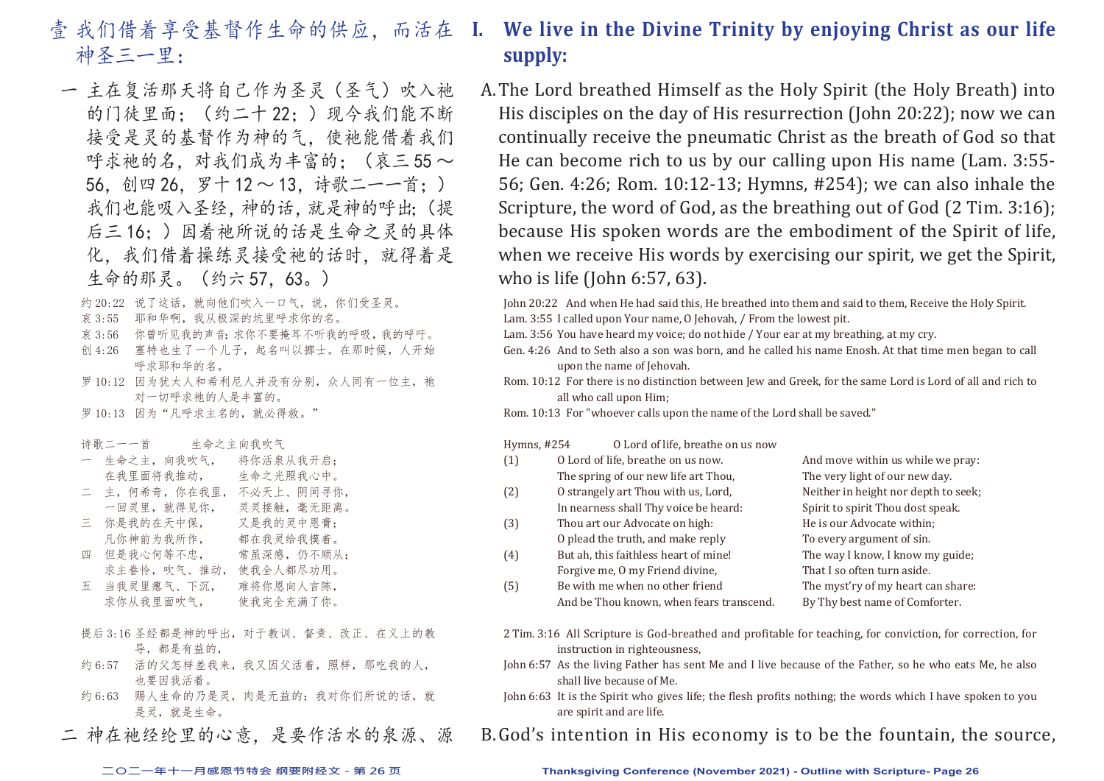- 壹 我们借着享受基督作生命的供应,而活在 I. 神圣三一里:
	- 一 主在复活那天将自己作为圣灵(圣气)吹入祂 的门徒里面;(约二十 22;)现今我们能不断 接受是灵的基督作为神的气,使祂能借着我们 呼求祂的名,对我们成为丰富的;(哀三 55~ 56,创四 26,罗十 12 ~ 13,诗歌二一一首;) 我们也能吸入圣经,神的话,就是神的呼出;(提 后三 16;)因着祂所说的话是生命之灵的具体 化,我们借着操练灵接受祂的话时,就得着是 生命的那灵。(约六 57,63。)
		- 约 20:22 说了这话, 就向他们吹入一口气, 说, 你们受圣灵。
		- 哀 3:55 耶和华啊,我从极深的坑里呼求你的名。
		- 哀 3:56 你曾听见我的声音;求你不要掩耳不听我的呼吸,我的呼吁。
		- 创 4:26 塞特也生了一个儿子,起名叫以挪士。在那时候,人开始 呼求耶和华的名。
		- 罗 10:12 因为犹太人和希利尼人并没有分别,众人同有一位主, 祂 对一切呼求祂的人是丰富的。
		- 罗 10:13 因为"凡呼求主名的, 就必得救。"
		- 诗歌二一一首 生命之主向我吹气
		- 一 生命之主,向我吹气, 将你活泉从我开启;
		- 在我里面将我推动, 生命之光照我心中。
		- 二 主,何希奇,你在我里, 不必天上、阴间寻你,
		- 一回灵里,就得见你, 灵灵接触,毫无距离。
		- 三 你是我的在天中保, 又是我的灵中恩膏;
		- 凡你神前为我所作, 都在我灵给我摸着。
		- 四 但是我心何等不忠, 常虽深感,仍不顺从;
		- 求主眷怜,吹气、推动, 使我全人都尽功用。 五 当我灵里瘪气、下沉, 难将你恩向人言陈,
		- 求你从我里面吹气, 使我完全充满了你。
		- 提后 3:16 圣经都是神的呼出,对于教训、督责、改正、在义上的教 导,都是有益的,
		- 约 6:57 活的父怎样差我来,我又因父活着,照样,那吃我的人, 也要因我活着。
		- 约 6:63 赐人生命的乃是灵,肉是无益的;我对你们所说的话,就 是灵,就是生命。
	- 二 神在祂经纶里的心意,是要作活水的泉源、源

# **I. We live in the Divine Trinity by enjoying Christ as our life supply:**

A. The Lord breathed Himself as the Holy Spirit (the Holy Breath) into His disciples on the day of His resurrection (John 20:22); now we can continually receive the pneumatic Christ as the breath of God so that He can become rich to us by our calling upon His name (Lam. 3:55- 56; Gen. 4:26; Rom. 10:12-13; Hymns, #254); we can also inhale the Scripture, the word of God, as the breathing out of God (2 Tim. 3:16); because His spoken words are the embodiment of the Spirit of life, when we receive His words by exercising our spirit, we get the Spirit, who is life (John 6:57, 63).

John 20:22 And when He had said this, He breathed into them and said to them, Receive the Holy Spirit. Lam. 3:55 I called upon Your name, O Jehovah, / From the lowest pit.

- Lam. 3:56 You have heard my voice; do not hide / Your ear at my breathing, at my cry.
- Gen. 4:26 And to Seth also a son was born, and he called his name Enosh. At that time men began to call upon the name of Jehovah.
- Rom. 10:12 For there is no distinction between Jew and Greek, for the same Lord is Lord of all and rich to all who call upon Him;

Rom. 10:13 For "whoever calls upon the name of the Lord shall be saved."

Hymns, #254 O Lord of life, breathe on us now

| O Lord of life, breathe on us now.       | And move within us while we pray:    |
|------------------------------------------|--------------------------------------|
| The spring of our new life art Thou,     | The very light of our new day.       |
| O strangely art Thou with us, Lord,      | Neither in height nor depth to seek; |
| In nearness shall Thy voice be heard:    | Spirit to spirit Thou dost speak.    |
| Thou art our Advocate on high:           | He is our Advocate within;           |
| O plead the truth, and make reply        | To every argument of sin.            |
| But ah, this faithless heart of mine!    | The way I know, I know my guide;     |
| Forgive me, 0 my Friend divine,          | That I so often turn aside.          |
| Be with me when no other friend          | The myst'ry of my heart can share:   |
| And be Thou known, when fears transcend. | By Thy best name of Comforter.       |
|                                          |                                      |

- 2 Tim. 3:16 All Scripture is God-breathed and profitable for teaching, for conviction, for correction, for instruction in righteousness,
- John 6:57 As the living Father has sent Me and I live because of the Father, so he who eats Me, he also shall live because of Me.
- John 6:63 It is the Spirit who gives life; the flesh profits nothing; the words which I have spoken to you are spirit and are life.

B. God's intention in His economy is to be the fountain, the source,

#### **二○二一年十一月感恩节特会 纲要附经文 - 第 26 页 Thanksgiving Conference (November 2021) - Outline with Scripture- Page 26**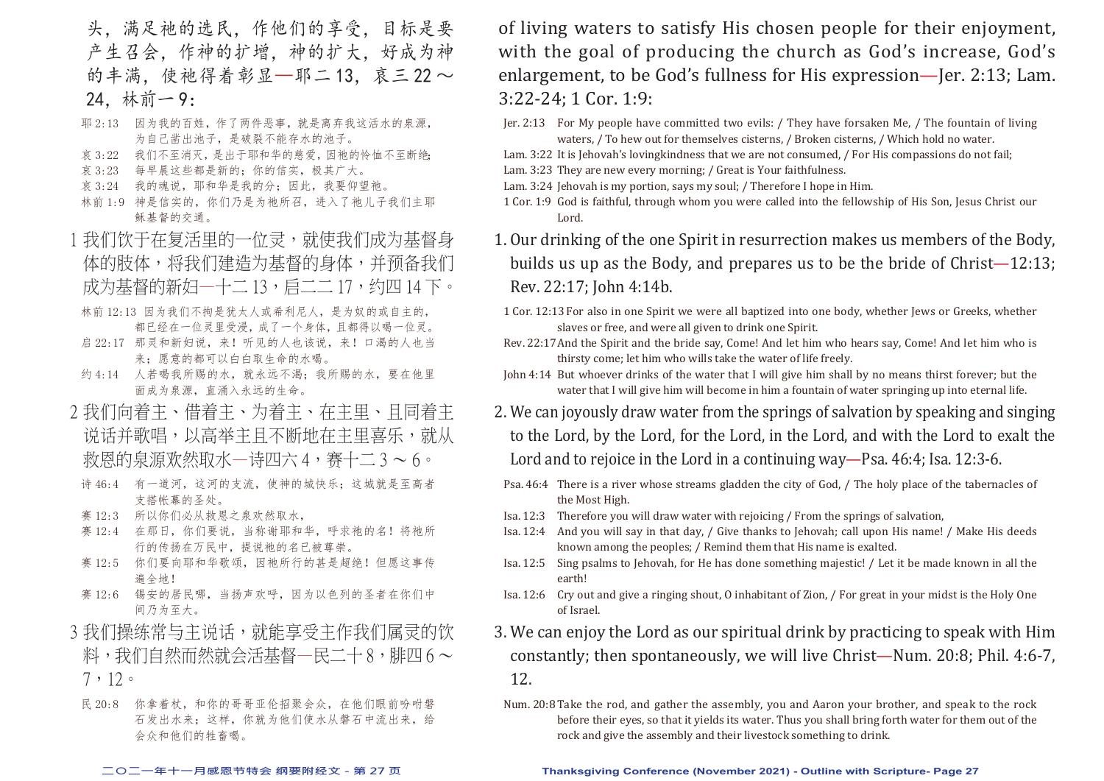头,满足祂的选民,作他们的享受,目标是要 产生召会,作神的扩增,神的扩大,好成为神 的丰满,使祂得着彰显—耶二 13, 哀三 22 ~ 24,林前一 9:

- 耶 2:13 因为我的百姓,作了两件恶事,就是离弃我这活水的泉源, 为自己凿出池子,是破裂不能存水的池子。
- 哀 3:22 我们不至消灭, 是出于耶和华的慈爱, 因祂的怜恤不至断绝;
- 哀 3:23 每早晨这些都是新的;你的信实,极其广大。
- 哀 3:24 我的魂说,耶和华是我的分;因此,我要仰望祂。
- 林前 1:9 神是信实的,你们乃是为祂所召,进入了祂儿子我们主耶 稣基督的交通。
- 1 我们饮干在复活里的一位灵,就使我们成为基督身 体的肢体,将我们建造为基督的身体,并预备我们 成为基督的新妇—十二 13, 启二二 17, 约四 14 下。
- 林前 12:13 因为我们不拘是犹太人或希利尼人,是为奴的或自主的, 都已经在一位灵里受浸,成了一个身体,且都得以喝一位灵。
- 启 22:17 那灵和新妇说, 来!听见的人也该说, 来!口渴的人也当 来;愿意的都可以白白取生命的水喝。
- 约 4:14 人若喝我所赐的水,就永远不渴;我所赐的水,要在他里 面成为泉源,直涌入永远的生命。
- 2 我们向着主、借着主、为着主、在主里、且同着主 说话并歌唱,以高举主且不断地在主里喜乐,就从 救恩的泉源欢然取水—诗四六 4,赛十二 3 ~ 6。
- 诗 46:4 有一道河,这河的支流,使神的城快乐;这城就是至高者 支搭帐幕的圣处。
- 赛 12:3 所以你们必从救恩之泉欢然取水,
- 赛 12:4 在那日, 你们要说, 当称谢耶和华, 呼求祂的名! 将祂所 行的传扬在万民中,提说祂的名已被尊崇。
- 赛 12:5 你们要向耶和华歌颂,因祂所行的甚是超绝!但愿这事传 遍全地!
- 赛 12:6 锡安的居民哪,当扬声欢呼,因为以色列的圣者在你们中 间乃为至大。
- 3 我们操练常与主说话,就能享受主作我们属灵的饮 料,我们自然而然就会活基督—民二十 8,腓四 6 ~ 7,12。
- 民 20:8 你拿着杖, 和你的哥哥亚伦招聚会众, 在他们眼前吩咐磐 石发出水来;这样,你就为他们使水从磐石中流出来,给 会众和他们的牲畜喝。

of living waters to satisfy His chosen people for their enjoyment, with the goal of producing the church as God's increase, God's enlargement, to be God's fullness for His expression—Jer. 2:13; Lam. 3:22-24; 1 Cor. 1:9:

- Jer. 2:13 For My people have committed two evils: / They have forsaken Me, / The fountain of living waters, / To hew out for themselves cisterns, / Broken cisterns, / Which hold no water.
- Lam. 3:22 It is Jehovah's lovingkindness that we are not consumed, / For His compassions do not fail: Lam. 3:23 They are new every morning: / Great is Your faithfulness.
- Lam. 3:24 Jehovah is my portion, says my soul: / Therefore I hope in Him.
- 1 Cor. 1:9 God is faithful, through whom you were called into the fellowship of His Son, Jesus Christ our Lord.
- 1. Our drinking of the one Spirit in resurrection makes us members of the Body, builds us up as the Body, and prepares us to be the bride of Christ—12:13; Rev. 22:17; John 4:14b.
- 1 Cor. 12:13 For also in one Spirit we were all baptized into one body, whether Jews or Greeks, whether slaves or free, and were all given to drink one Spirit.
- Rev. 22:17 And the Spirit and the bride say, Come! And let him who hears say, Come! And let him who is thirsty come; let him who wills take the water of life freely.
- John 4:14 But whoever drinks of the water that I will give him shall by no means thirst forever; but the water that I will give him will become in him a fountain of water springing up into eternal life.
- 2. We can joyously draw water from the springs of salvation by speaking and singing to the Lord, by the Lord, for the Lord, in the Lord, and with the Lord to exalt the Lord and to rejoice in the Lord in a continuing way—Psa. 46:4; Isa. 12:3-6.
- Psa. 46:4 There is a river whose streams gladden the city of God, / The holy place of the tabernacles of the Most High.
- Isa. 12:3 Therefore you will draw water with rejoicing / From the springs of salvation,
- Isa. 12:4 And you will say in that day, / Give thanks to Jehovah; call upon His name! / Make His deeds known among the peoples; / Remind them that His name is exalted.
- Isa. 12:5 Sing psalms to Jehovah, for He has done something majestic! / Let it be made known in all the earth!
- Isa. 12:6 Cry out and give a ringing shout, O inhabitant of Zion, / For great in your midst is the Holy One of Israel.
- 3. We can enjoy the Lord as our spiritual drink by practicing to speak with Him constantly; then spontaneously, we will live Christ—Num. 20:8; Phil. 4:6-7, 12.
	- Num. 20:8 Take the rod, and gather the assembly, you and Aaron your brother, and speak to the rock before their eyes, so that it yields its water. Thus you shall bring forth water for them out of the rock and give the assembly and their livestock something to drink.

#### **二○二一年十一月感恩节特会 纲要附经文 - 第 27 页 Thanksgiving Conference (November 2021) - Outline with Scripture- Page 27**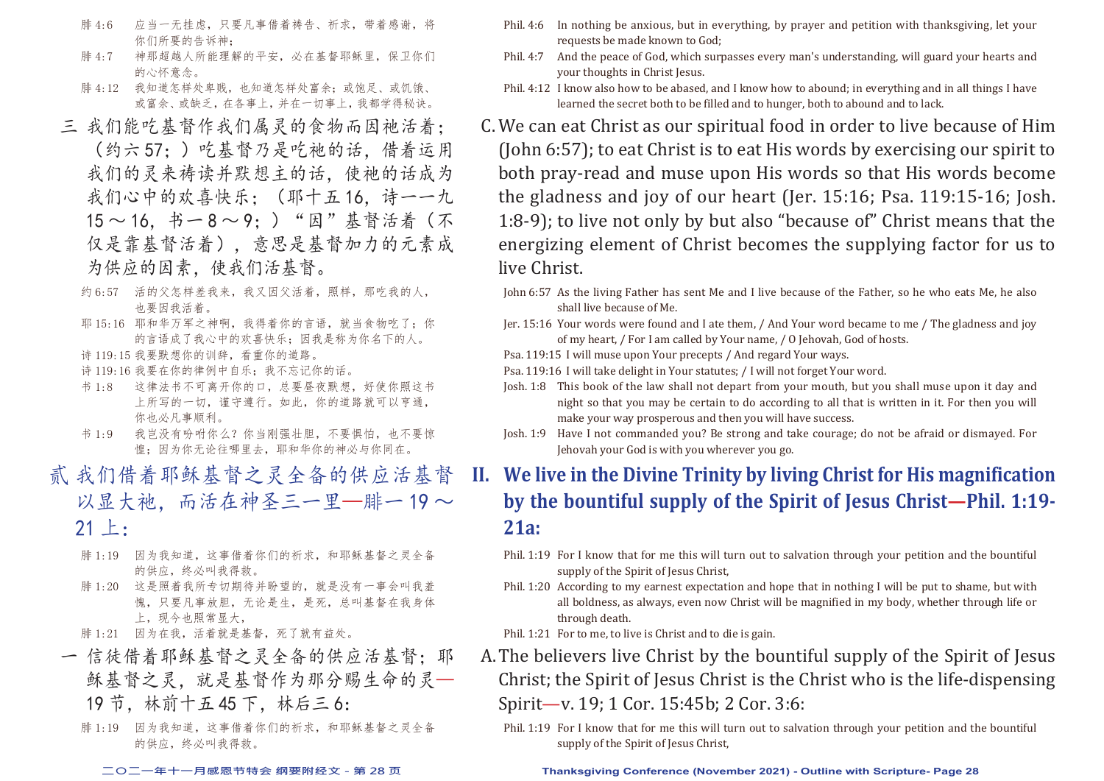- 腓 4:6 应当一无挂虑,只要凡事借着祷告、祈求,带着感谢,将 你们所要的告诉神;
- 腓 4:7 神那超越人所能理解的平安,必在基督耶稣里,保卫你们 的心怀意念。
- 腓 4:12 我知道怎样处卑贱,也知道怎样处富余;或饱足、或饥饿、 或富余、或缺乏,在各事上,并在一切事上,我都学得秘诀。
- 三 我们能吃基督作我们属灵的食物而因祂活着; (约六 57;)吃基督乃是吃祂的话,借着运用 我们的灵来祷读并默想主的话,使祂的话成为 我们心中的欢喜快乐:(耶十五16,诗一一九 15 ~ 16,书一 8 ~ 9;)"因"基督活着(不 仅是靠基督活着),意思是基督加力的元素成 为供应的因素,使我们活基督。
	- 约 6:57 活的父怎样差我来,我又因父活着,照样,那吃我的人, 也要因我活着。
	- 耶 15:16 耶和华万军之神啊, 我得着你的言语, 就当食物吃了; 你 的言语成了我心中的欢喜快乐;因我是称为你名下的人。
	- 诗 119:15 我要默想你的训辞,看重你的道路。
	- 诗 119:16 我要在你的律例中自乐;我不忘记你的话。
	- 书 1:8 这律法书不可离开你的口,总要昼夜默想,好使你照这书 上所写的一切,谨守遵行。如此,你的道路就可以亨通, 你也必凡事顺利。
	- 书 1:9 我岂没有吩咐你么?你当刚强壮胆,不要惧怕,也不要惊 惶;因为你无论往哪里去,耶和华你的神必与你同在。
- 贰 我们借着耶稣基督之灵全备的供应活基督 以显大祂,而活在神圣三一里—腓一 19~ 21 上:
	- 腓 1:19 因为我知道,这事借着你们的祈求,和耶稣基督之灵全备 的供应,终必叫我得救。
	- 腓 1:20 这是照着我所专切期待并盼望的,就是没有一事会叫我羞 愧,只要凡事放胆,无论是生,是死,总叫基督在我身体 上,现今也照常显大,
	- 腓 1:21 因为在我,活着就是基督,死了就有益处。
	- 一 信徒借着耶稣基督之灵全备的供应活基督: 耶 稣基督之灵,就是基督作为那分赐生命的灵— 19 节,林前十五 45 下,林后三 6:
		- 腓 1:19 因为我知道,这事借着你们的祈求,和耶稣基督之灵全备 的供应,终必叫我得救。
- Phil. 4:6 In nothing be anxious, but in everything, by prayer and petition with thanksgiving, let your requests be made known to God;
- Phil. 4:7 And the peace of God, which surpasses every man's understanding, will guard your hearts and your thoughts in Christ Jesus.
- Phil. 4:12 I know also how to be abased, and I know how to abound; in everything and in all things I have learned the secret both to be filled and to hunger, both to abound and to lack.
- C. We can eat Christ as our spiritual food in order to live because of Him (John 6:57); to eat Christ is to eat His words by exercising our spirit to both pray-read and muse upon His words so that His words become the gladness and joy of our heart (Jer. 15:16; Psa. 119:15-16; Josh. 1:8-9); to live not only by but also "because of" Christ means that the energizing element of Christ becomes the supplying factor for us to live Christ.
	- John 6:57 As the living Father has sent Me and I live because of the Father, so he who eats Me, he also shall live because of Me.
	- Jer. 15:16 Your words were found and I ate them, / And Your word became to me / The gladness and joy of my heart, / For I am called by Your name, / O Jehovah, God of hosts.
	- Psa. 119:15 I will muse upon Your precepts / And regard Your ways.
	- Psa. 119:16 I will take delight in Your statutes; / I will not forget Your word.
	- Josh. 1:8 This book of the law shall not depart from your mouth, but you shall muse upon it day and night so that you may be certain to do according to all that is written in it. For then you will make your way prosperous and then you will have success.
	- Josh. 1:9 Have I not commanded you? Be strong and take courage; do not be afraid or dismayed. For Jehovah your God is with you wherever you go.
- **II. We live in the Divine Trinity by living Christ for His magnification by the bountiful supply of the Spirit of Jesus Christ—Phil. 1:19- 21a:**
	- Phil. 1:19 For I know that for me this will turn out to salvation through your petition and the bountiful supply of the Spirit of Jesus Christ,
	- Phil. 1:20 According to my earnest expectation and hope that in nothing I will be put to shame, but with all boldness, as always, even now Christ will be magnified in my body, whether through life or through death.
	- Phil. 1:21 For to me, to live is Christ and to die is gain.
- A. The believers live Christ by the bountiful supply of the Spirit of Jesus Christ; the Spirit of Jesus Christ is the Christ who is the life-dispensing Spirit—v. 19; 1 Cor. 15:45b; 2 Cor. 3:6:
	- Phil. 1:19 For I know that for me this will turn out to salvation through your petition and the bountiful supply of the Spirit of Jesus Christ,

**二○二一年十一月感恩节特会 纲要附经文 - 第 28 页 Thanksgiving Conference (November 2021) - Outline with Scripture- Page 28**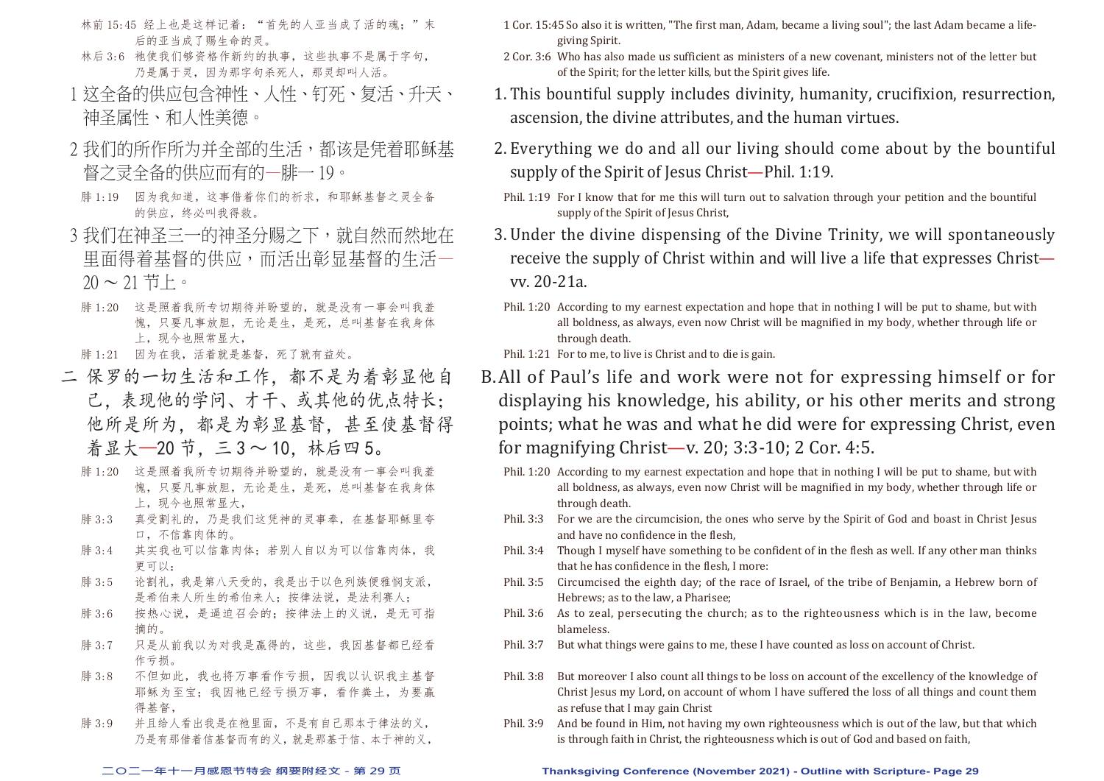- 林前 15:45 经上也是这样记着: "首先的人亚当成了活的魂;"末 后的亚当成了赐生命的灵。
- 林后 3:6 祂使我们够资格作新约的执事,这些执事不是属于字句, 乃是属于灵,因为那字句杀死人,那灵却叫人活。
- 1 这全备的供应包含神性、人性、钉死、复活、升天、 神圣属性、和人性美德。
- 2 我们的所作所为并全部的生活,都该是凭着耶稣基 督之灵全备的供应而有的—腓一 19。
- 腓 1:19 因为我知道,这事借着你们的祈求,和耶稣基督之灵全备 的供应,终必叫我得救。
- 3 我们在神圣三一的神圣分赐之下, 就自然而然地在 里面得着基督的供应,而活出彰显基督的生活—  $20 \sim 21$  节上。
- 腓 1:20 这是照着我所专切期待并盼望的,就是没有一事会叫我羞 愧,只要凡事放胆,无论是生,是死,总叫基督在我身体 上, 现今也照常显大,
- 腓 1:21 因为在我,活着就是基督,死了就有益处。
- 二 保罗的一切生活和工作,都不是为着彰显他自 己,表现他的学问、才干、或其他的优点特长; 他所是所为,都是为彰显基督,甚至使基督得 着显大—20 节,三 3 ~ 10,林后四 5。
	- 腓 1:20 这是照着我所专切期待并盼望的,就是没有一事会叫我羞 愧,只要凡事放胆,无论是生,是死,总叫基督在我身体 上,现今也照常显大,
	- 腓 3:3 真受割礼的,乃是我们这凭神的灵事奉,在基督耶稣里夸 口,不信靠肉体的。
	- 腓 3:4 其实我也可以信靠肉体;若别人自以为可以信靠肉体,我 更可以:
	- 腓 3:5 论割礼,我是第八天受的,我是出于以色列族便雅悯支派, 是希伯来人所生的希伯来人;按律法说,是法利赛人;
	- 腓 3:6 按热心说,是逼迫召会的;按律法上的义说,是无可指 摘的。
	- 腓 3:7 只是从前我以为对我是赢得的,这些,我因基督都已经看 作亏损。
	- 腓 3:8 不但如此,我也将万事看作亏损,因我以认识我主基督 耶稣为至宝;我因祂已经亏损万事,看作粪土,为要赢 得基督,
	- 腓 3:9 并且给人看出我是在祂里面,不是有自己那本于律法的义, 乃是有那借着信基督而有的义,就是那基于信、本于神的义,
- 1 Cor. 15:45 So also it is written, "The first man, Adam, became a living soul"; the last Adam became a lifegiving Spirit.
- 2 Cor. 3:6 Who has also made us sufficient as ministers of a new covenant, ministers not of the letter but of the Spirit; for the letter kills, but the Spirit gives life.
- 1. This bountiful supply includes divinity, humanity, crucifixion, resurrection, ascension, the divine attributes, and the human virtues.
- 2. Everything we do and all our living should come about by the bountiful supply of the Spirit of Jesus Christ-Phil. 1:19.
- Phil. 1:19 For I know that for me this will turn out to salvation through your petition and the bountiful supply of the Spirit of Jesus Christ,
- 3. Under the divine dispensing of the Divine Trinity, we will spontaneously receive the supply of Christ within and will live a life that expresses Christ vv. 20-21a.
- Phil. 1:20 According to my earnest expectation and hope that in nothing I will be put to shame, but with all boldness, as always, even now Christ will be magnified in my body, whether through life or through death.
- Phil. 1:21 For to me, to live is Christ and to die is gain.
- B. All of Paul's life and work were not for expressing himself or for displaying his knowledge, his ability, or his other merits and strong points; what he was and what he did were for expressing Christ, even for magnifying Christ—v. 20; 3:3-10; 2 Cor. 4:5.
	- Phil. 1:20 According to my earnest expectation and hope that in nothing I will be put to shame, but with all boldness, as always, even now Christ will be magnified in my body, whether through life or through death.
	- Phil. 3:3 For we are the circumcision, the ones who serve by the Spirit of God and boast in Christ Jesus and have no confidence in the flesh,
	- Phil. 3:4 Though I myself have something to be confident of in the flesh as well. If any other man thinks that he has confidence in the flesh, I more:
	- Phil. 3:5 Circumcised the eighth day; of the race of Israel, of the tribe of Benjamin, a Hebrew born of Hebrews; as to the law, a Pharisee;
	- Phil. 3:6 As to zeal, persecuting the church; as to the righteousness which is in the law, become blameless.
	- Phil. 3:7 But what things were gains to me, these I have counted as loss on account of Christ.
	- Phil. 3:8 But moreover I also count all things to be loss on account of the excellency of the knowledge of Christ Jesus my Lord, on account of whom I have suffered the loss of all things and count them as refuse that I may gain Christ
	- Phil. 3:9 And be found in Him, not having my own righteousness which is out of the law, but that which is through faith in Christ, the righteousness which is out of God and based on faith,

#### **二○二一年十一月感恩节特会 纲要附经文 - 第 29 页 Thanksgiving Conference (November 2021) - Outline with Scripture- Page 29**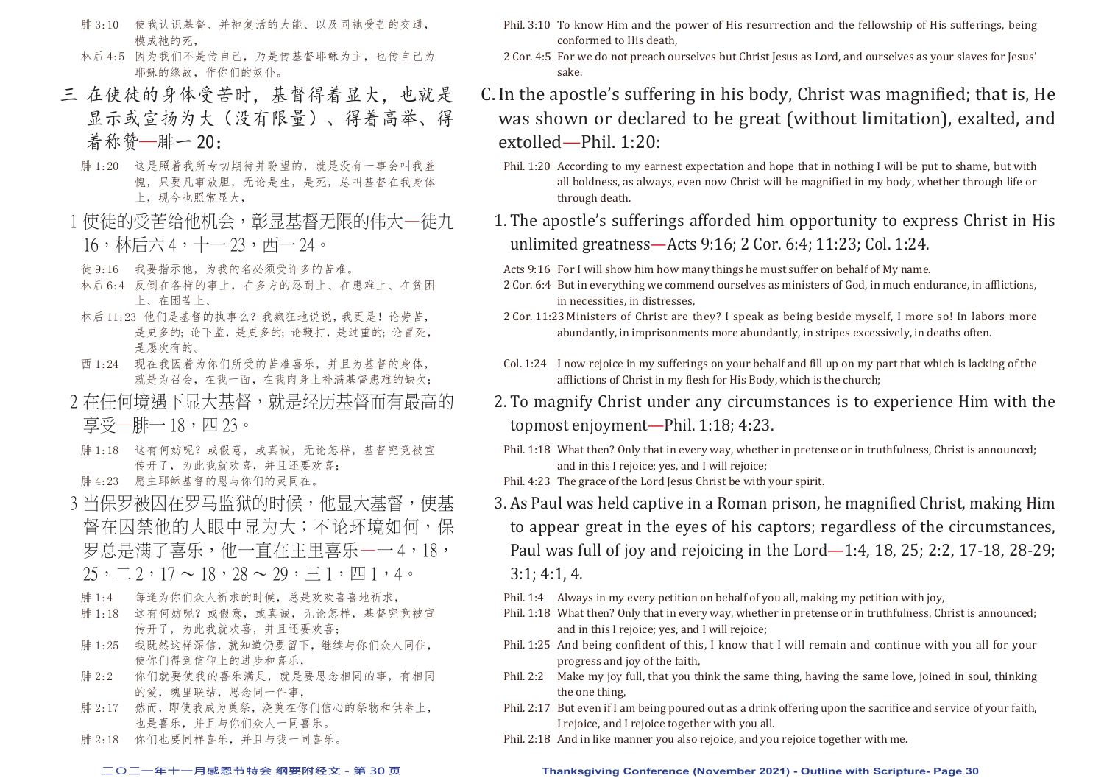- 腓 3:10 使我认识基督、并祂复活的大能、以及同祂受苦的交通, 模成祂的死,
- 林后 4:5 因为我们不是传自己,乃是传基督耶稣为主, 也传自己为 耶稣的缘故,作你们的奴仆。
- 三 在使徒的身体受苦时,基督得着显大,也就是 显示或宣扬为大(没有限量)、得着高举、得 着称赞—腓一 20:
	- 腓 1:20 这是照着我所专切期待并盼望的,就是没有一事会叫我羞 愧,只要凡事放胆,无论是生,是死,总叫基督在我身体 上,现今也照常显大,
	- 1 使徒的受苦给他机会,彰显基督无限的伟大一徒九 16,林后六 4,十一 23,西一 24。
	- 徒 9:16 我要指示他,为我的名必须受许多的苦难。
	- 林后 6:4 反倒在各样的事上,在多方的忍耐上、在患难上、在贫困 上、在困苦上、
	- 林后 11:23 他们是基督的执事么?我疯狂地说说,我更是!论劳苦, 是更多的;论更多的;论鞭打,是过重的;论冒死, 是屡次有的。
	- 西 1:24 现在我因着为你们所受的苦难喜乐,并且为基督的身体, 就是为召会,在我一面,在我肉身上补满基督患难的缺欠;
	- 2 在任何境遇下显大基督、就是经历基督而有最高的
		- 享受—腓一 18,四 23。
	- 腓 1:18 这有何妨呢?或假意,或真诚,无论怎样,基督究竟被宣 传开了,为此我就欢喜,并且还要欢喜;
	- 腓 4:23 愿主耶稣基督的恩与你们的灵同在。
- 3 当保罗被囚在罗马监狱的时候,他显大基督,使基 督在囚禁他的人眼中显为大;不论环境如何,保 罗总是满了喜乐,他一直在主里喜乐——4,18,  $25, \underline{\hspace{1cm}} 2,17 \sim 18, 28 \sim 29, \equiv 1, \overline{p}$ 
	- 腓 1:4 每逢为你们众人祈求的时候,总是欢欢喜喜地祈求,
	- 腓 1:18 这有何妨呢?或假意,或真诚,无论怎样,基督究竟被宣 传开了,为此我就欢喜,并且还要欢喜;
	- 腓 1:25 我既然这样深信,就知道仍要留下,继续与你们众人同住, 使你们得到信仰上的进步和喜乐,
	- 腓 2:2 你们就要使我的喜乐满足,就是要思念相同的事,有相同 的爱,魂里联结,思念同一件事,
	- 腓 2:17 然而,即使我成为奠祭,浇奠在你们信心的祭物和供奉上, 也是喜乐,并且与你们众人一同喜乐。
	- 腓 2:18 你们也要同样喜乐,并且与我一同喜乐。
- Phil. 3:10 To know Him and the power of His resurrection and the fellowship of His sufferings, being conformed to His death,
- 2 Cor. 4:5 For we do not preach ourselves but Christ Jesus as Lord, and ourselves as your slaves for Jesus' sake.
- C. In the apostle's suffering in his body, Christ was magnified; that is, He was shown or declared to be great (without limitation), exalted, and extolled—Phil. 1:20:
	- Phil. 1:20 According to my earnest expectation and hope that in nothing I will be put to shame, but with all boldness, as always, even now Christ will be magnified in my body, whether through life or through death.
	- 1. The apostle's sufferings afforded him opportunity to express Christ in His unlimited greatness—Acts 9:16; 2 Cor. 6:4; 11:23; Col. 1:24.

Acts 9:16 For I will show him how many things he must suffer on behalf of My name.

- 2 Cor. 6:4 But in everything we commend ourselves as ministers of God, in much endurance, in afflictions, in necessities, in distresses,
- 2 Cor. 11:23 Ministers of Christ are they? I speak as being beside myself, I more so! In labors more abundantly, in imprisonments more abundantly, in stripes excessively, in deaths often.
- Col. 1:24 I now rejoice in my sufferings on your behalf and fill up on my part that which is lacking of the afflictions of Christ in my flesh for His Body, which is the church;
- 2. To magnify Christ under any circumstances is to experience Him with the topmost enjoyment—Phil. 1:18; 4:23.
- Phil. 1:18 What then? Only that in every way, whether in pretense or in truthfulness, Christ is announced; and in this I rejoice; yes, and I will rejoice;
- Phil. 4:23 The grace of the Lord Jesus Christ be with your spirit.
- 3. As Paul was held captive in a Roman prison, he magnified Christ, making Him to appear great in the eyes of his captors; regardless of the circumstances, Paul was full of joy and rejoicing in the Lord—1:4, 18, 25; 2:2, 17-18, 28-29; 3:1; 4:1, 4.
- Phil. 1:4 Always in my every petition on behalf of you all, making my petition with joy,
- Phil. 1:18 What then? Only that in every way, whether in pretense or in truthfulness, Christ is announced; and in this I rejoice; yes, and I will rejoice;
- Phil. 1:25 And being confident of this, I know that I will remain and continue with you all for your progress and joy of the faith,
- Phil. 2:2 Make my joy full, that you think the same thing, having the same love, joined in soul, thinking the one thing,
- Phil. 2:17 But even if I am being poured out as a drink offering upon the sacrifice and service of your faith, I rejoice, and I rejoice together with you all.
- Phil. 2:18 And in like manner you also rejoice, and you rejoice together with me.

### **二○二一年十一月感恩节特会 纲要附经文 - 第 30 页 Thanksgiving Conference (November 2021) - Outline with Scripture- Page 30**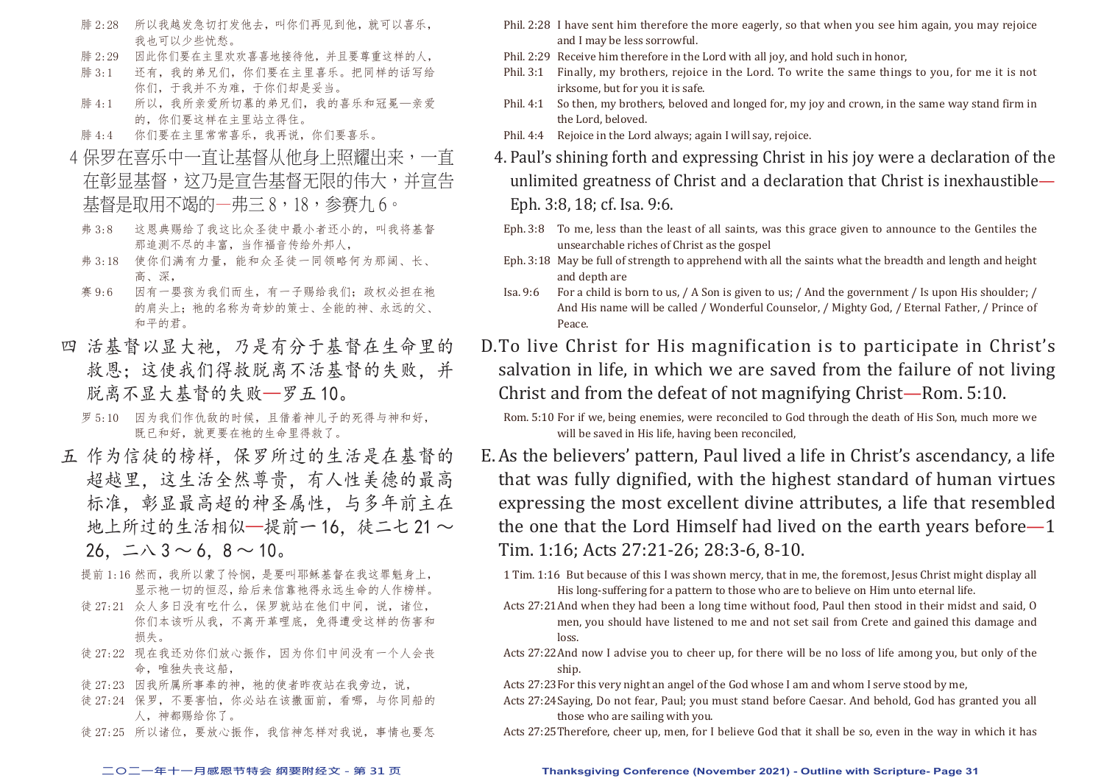- 腓 2:28 所以我越发急切打发他去,叫你们再见到他,就可以喜乐, 我也可以少些忧愁。
- 腓 2:29 因此你们要在主里欢欢喜喜地接待他,并且要尊重这样的人,
- 腓 3:1 还有,我的弟兄们,你们要在主里喜乐。把同样的话写给 你们,于我并不为难,于你们却是妥当。
- 腓 4:1 所以,我所亲爱所切慕的弟兄们,我的喜乐和冠冕—亲爱 的,你们要这样在主里站立得住。
- 腓 4:4 你们要在主里常常喜乐,我再说,你们要喜乐。
- 4 保罗在喜乐中一直让基督从他身上照耀出来,一直 在彰显基督,这乃是宣告基督无限的伟大,并宣告 基督是取用不竭的—弗三 8,18,参赛九 6。
- 弗 3:8 这恩典赐给了我这比众圣徒中最小者还小的,叫我将基督 那追测不尽的丰富,当作福音传给外邦人,
- 弗 3:18 使你们满有力量,能和众圣徒一同领略何为那阔、长、 高、深,
- 赛 9:6 因有一婴孩为我们而生,有一子赐给我们;政权必担在祂 的肩头上;祂的名称为奇妙的策士、全能的神、永远的父、 和平的君。
- 四 活基督以显大祂,乃是有分于基督在生命里的 救恩:这使我们得救脱离不活基督的失败,并 脱离不显大基督的失败—罗五 10。
	- 罗 5:10 因为我们作仇敌的时候,且借着神儿子的死得与神和好, 既已和好,就更要在祂的生命里得救了。
- 五 作为信徒的榜样,保罗所过的生活是在基督的 超越里,这生活全然尊贵,有人性美德的最高 标准,彰显最高超的神圣属性,与多年前主在 地上所过的生活相似—提前一16. 徒二七21~  $26. \pm \lambda 3 \sim 6.8 \sim 10$ 。
	- 提前 1:16 然而,我所以蒙了怜悯,是要叫耶稣基督在我这罪魁身上, 显示祂一切的恒忍,给后来信靠祂得永远生命的人作榜样。
	- 徒 27:21 众人多日没有吃什么,保罗就站在他们中间,说,诸位, 你们本该听从我,不离开革哩底,免得遭受这样的伤害和 损失。
	- 徒 27:22 现在我还劝你们放心振作,因为你们中间没有一个人会丧 命,唯独失丧这船,
	- 徒 27:23 因我所属所事奉的神, 祂的使者昨夜站在我旁边, 说,
	- 徒 27:24 保罗, 不要害怕, 你必站在该撒面前, 看哪, 与你同船的 人,神都赐给你了。
	- 徒 27:25 所以诸位,要放心振作,我信神怎样对我说,事情也要怎
- Phil. 2:28 I have sent him therefore the more eagerly, so that when you see him again, you may rejoice and I may be less sorrowful.
- Phil. 2:29 Receive him therefore in the Lord with all joy, and hold such in honor,
- Phil. 3:1 Finally, my brothers, rejoice in the Lord. To write the same things to you, for me it is not irksome, but for you it is safe.
- Phil. 4:1 So then, my brothers, beloved and longed for, my joy and crown, in the same way stand firm in the Lord, beloved.
- Phil. 4:4 Rejoice in the Lord always; again I will say, rejoice.
- 4. Paul's shining forth and expressing Christ in his joy were a declaration of the unlimited greatness of Christ and a declaration that Christ is inexhaustible— Eph. 3:8, 18; cf. Isa. 9:6.
- Eph. 3:8 To me, less than the least of all saints, was this grace given to announce to the Gentiles the unsearchable riches of Christ as the gospel
- Eph. 3:18 May be full of strength to apprehend with all the saints what the breadth and length and height and depth are
- Isa. 9:6 For a child is born to us, / A Son is given to us; / And the government / Is upon His shoulder; / And His name will be called / Wonderful Counselor, / Mighty God, / Eternal Father, / Prince of Peace.
- D. To live Christ for His magnification is to participate in Christ's salvation in life, in which we are saved from the failure of not living Christ and from the defeat of not magnifying Christ—Rom. 5:10.

- E. As the believers' pattern, Paul lived a life in Christ's ascendancy, a life that was fully dignified, with the highest standard of human virtues expressing the most excellent divine attributes, a life that resembled the one that the Lord Himself had lived on the earth years before—1 Tim. 1:16; Acts 27:21-26; 28:3-6, 8-10.
	- 1 Tim. 1:16 But because of this I was shown mercy, that in me, the foremost, Jesus Christ might display all His long-suffering for a pattern to those who are to believe on Him unto eternal life.
	- Acts 27:21 And when they had been a long time without food, Paul then stood in their midst and said, O men, you should have listened to me and not set sail from Crete and gained this damage and loss
	- Acts 27:22 And now I advise you to cheer up, for there will be no loss of life among you, but only of the ship.
	- Acts 27:23 For this very night an angel of the God whose I am and whom I serve stood by me,
	- Acts 27:24 Saying, Do not fear, Paul; you must stand before Caesar. And behold, God has granted you all those who are sailing with you.
	- Acts 27:25 Therefore, cheer up, men, for I believe God that it shall be so, even in the way in which it has

#### **二○二一年十一月感恩节特会 纲要附经文 - 第 31 页 Thanksgiving Conference (November 2021) - Outline with Scripture- Page 31**

Rom. 5:10 For if we, being enemies, were reconciled to God through the death of His Son, much more we will be saved in His life, having been reconciled,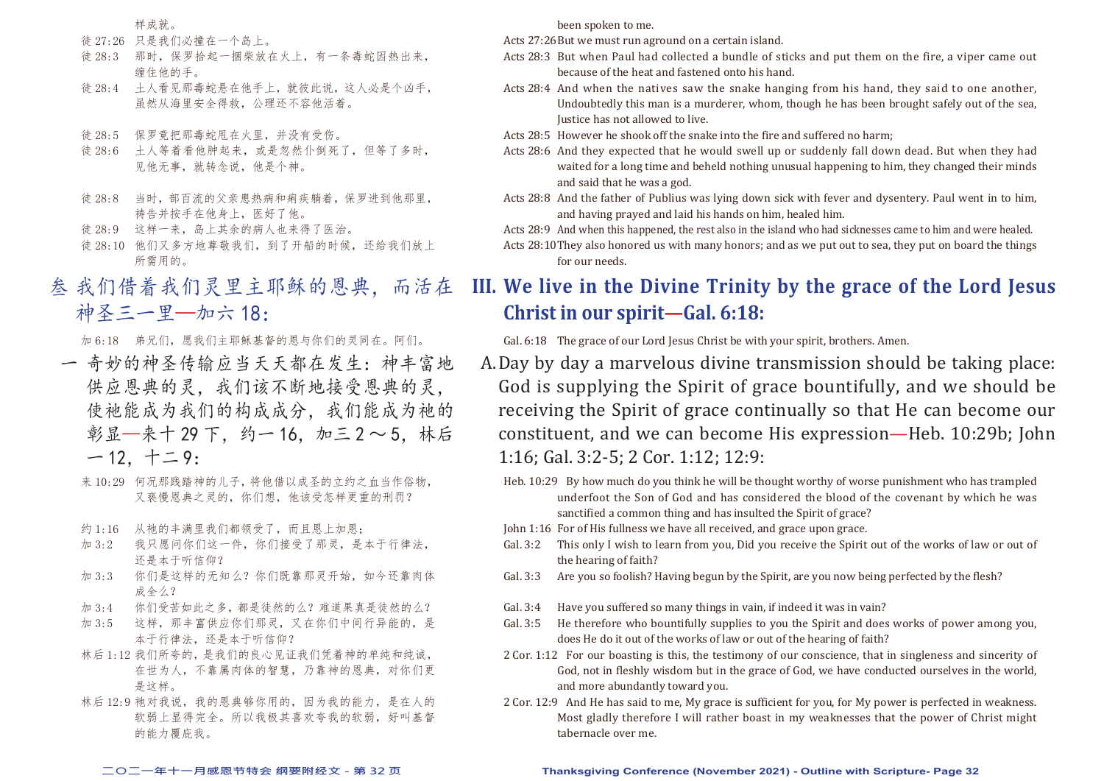样成就。

- 徒 27:26 只是我们必撞在一个岛上。
- 徒 28:3 那时,保罗拾起一捆柴放在火上,有一条毒蛇因热出来, 缠住他的手。
- 徒 28:4 土人看见那毒蛇悬在他手上,就彼此说,这人必是个凶手, 虽然从海里安全得救,公理还不容他活着。
- 徒 28:5 保罗竟把那毒蛇甩在火里,并没有受伤。
- 徒 28:6 土人等着看他肿起来,或是忽然仆倒死了,但等了多时, 见他无事,就转念说,他是个神。
- 徒 28:8 当时,部百流的父亲患热病和痢疾躺着,保罗进到他那里, 祷告并按手在他身上,医好了他。
- 徒 28:9 这样一来,岛上其余的病人也来得了医治。
- 徒 28:10 他们又多方地尊敬我们, 到了开船的时候, 还给我们放上 所需用的。
- 叁 我们借着我们灵里主耶稣的恩典,而活在 神圣三一里—加六 18:

加 6:18 弟兄们,愿我们主耶稣基督的恩与你们的灵同在。阿们。

- 一 奇妙的神圣传输应当天天都在发生:神丰富地 供应恩典的灵,我们该不断地接受恩典的灵, 使祂能成为我们的构成成分,我们能成为祂的 彰显—来十 29 下, 约一 16, 加三 2 ~ 5, 林后  $-12, +29$ :
	- 来 10:29 何况那践踏神的儿子, 将他借以成圣的立约之而当作俗物, 又亵慢恩典之灵的,你们想,他该受怎样更重的刑罚?
	- 约 1:16 从祂的丰满里我们都领受了,而且恩上加恩;
	- 加 3:2 我只愿问你们这一件,你们接受了那灵,是本于行律法, 还是本于听信仰?
	- 加 3:3 你们是这样的无知么?你们既靠那灵开始,如今还靠肉体 成全么?
	- 加 3:4 你们受苦如此之多,都是徒然的么?难道果真是徒然的么?
	- 加 3:5 这样,那丰富供应你们那灵,又在你们中间行异能的,是 本于行律法,还是本于听信仰?
	- 林后 1:12 我们所夸的,是我们的良心见证我们凭着神的单纯和纯诚, 在世为人,不靠属肉体的智慧,乃靠神的恩典,对你们更 是这样。
	- 林后 12:9 祂对我说,我的恩典够你用的,因为我的能力,是在人的 软弱上显得完全。所以我极其喜欢夸我的软弱,好叫基督 的能力覆庇我。

been spoken to me.

Acts 27:26 But we must run aground on a certain island.

- Acts 28:3 But when Paul had collected a bundle of sticks and put them on the fire, a viper came out because of the heat and fastened onto his hand.
- Acts 28:4 And when the natives saw the snake hanging from his hand, they said to one another, Undoubtedly this man is a murderer, whom, though he has been brought safely out of the sea, Justice has not allowed to live.
- Acts 28:5 However he shook off the snake into the fire and suffered no harm;
- Acts 28:6 And they expected that he would swell up or suddenly fall down dead. But when they had waited for a long time and beheld nothing unusual happening to him, they changed their minds and said that he was a god.
- Acts 28:8 And the father of Publius was lying down sick with fever and dysentery. Paul went in to him, and having prayed and laid his hands on him, healed him.
- Acts 28:9 And when this happened, the rest also in the island who had sicknesses came to him and were healed.
- Acts 28:10 They also honored us with many honors; and as we put out to sea, they put on board the things for our needs.

### **III. We live in the Divine Trinity by the grace of the Lord Jesus Christ in our spirit—Gal. 6:18:**

Gal. 6:18 The grace of our Lord Jesus Christ be with your spirit, brothers. Amen.

- A. Day by day a marvelous divine transmission should be taking place: God is supplying the Spirit of grace bountifully, and we should be receiving the Spirit of grace continually so that He can become our constituent, and we can become His expression—Heb. 10:29b; John 1:16; Gal. 3:2-5; 2 Cor. 1:12; 12:9:
	- Heb. 10:29 By how much do you think he will be thought worthy of worse punishment who has trampled underfoot the Son of God and has considered the blood of the covenant by which he was sanctified a common thing and has insulted the Spirit of grace?
	- John 1:16 For of His fullness we have all received, and grace upon grace.
	- Gal. 3:2 This only I wish to learn from you, Did you receive the Spirit out of the works of law or out of the hearing of faith?
	- Gal. 3:3 Are you so foolish? Having begun by the Spirit, are you now being perfected by the flesh?
	- Gal. 3:4 Have you suffered so many things in vain, if indeed it was in vain?
	- Gal. 3:5 He therefore who bountifully supplies to you the Spirit and does works of power among you, does He do it out of the works of law or out of the hearing of faith?
	- 2 Cor. 1:12 For our boasting is this, the testimony of our conscience, that in singleness and sincerity of God, not in fleshly wisdom but in the grace of God, we have conducted ourselves in the world, and more abundantly toward you.
	- 2 Cor. 12:9 And He has said to me, My grace is sufficient for you, for My power is perfected in weakness. Most gladly therefore I will rather boast in my weaknesses that the power of Christ might tabernacle over me.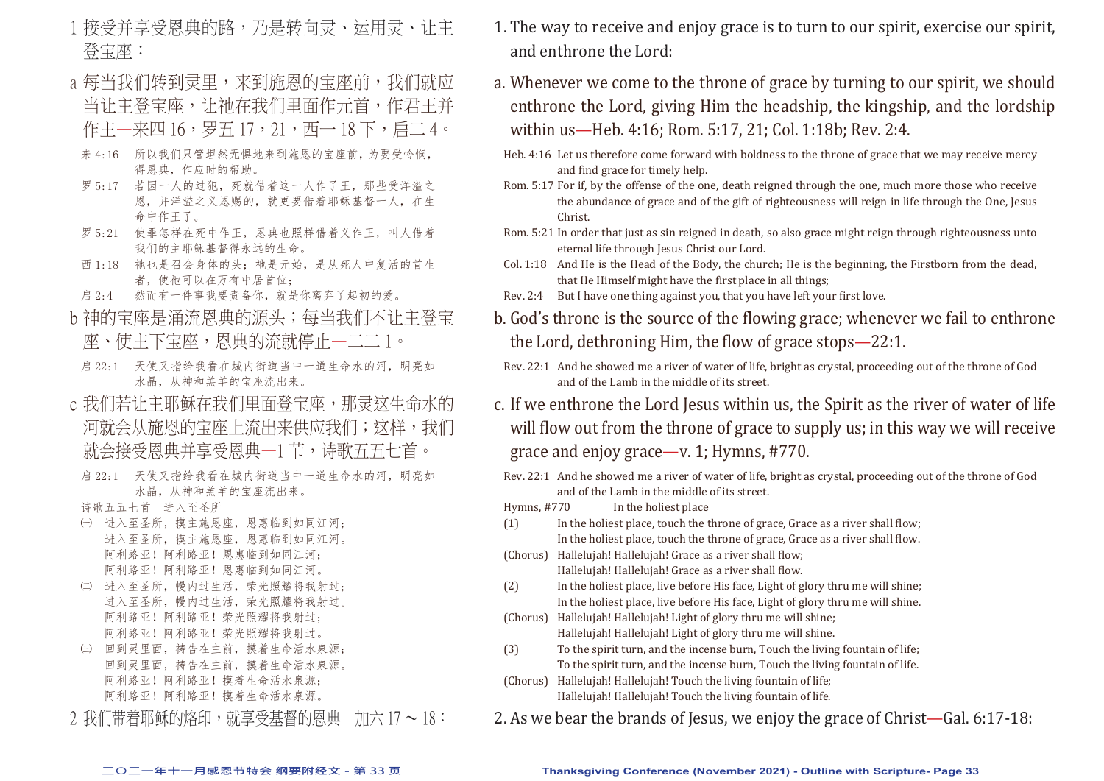- 1 接受并享受恩典的路,乃是转向灵、运用灵、让主 登宝座:
- a 每当我们转到灵里,来到施恩的宝座前,我们就应 当让主登宝座,让祂在我们里面作元首,作君王并 作主—来四 16,罗五 17,21,西— 18 下,启二 4。
- 来 4:16 所以我们只管坦然无惧地来到施恩的宝座前, 为要受怜悯, 得恩典,作应时的帮助。
- 罗 5:17 若因一人的过犯,死就借着这一人作了王,那些受洋溢之 恩,并洋溢之义恩赐的,就更要借着耶稣基督一人,在生 命中作王了。
- 罗 5:21 使罪怎样在死中作王,恩典也照样借着义作王,叫人借着 我们的主耶稣基督得永远的生命。
- 西 1:18 祂也是召会身体的头; 祂是元始, 是从死人中复活的首生 者,使祂可以在万有中居首位;
- 启 2:4 然而有一件事我要责备你,就是你离弃了起初的爱。
- b 神的宝座是涌流恩典的源头; 每当我们不让主登宝 座、使主下宝座,恩典的流就停止—二二 1。
	- 启 22:1 天使又指给我看在城内街道当中一道生命水的河, 明亮如 水晶,从神和羔羊的宝座流出来。
- c 我们若让主耶稣在我们里面登宝座,那灵这生命水的 河就会从施恩的宝座上流出来供应我们;这样,我们 就会接受恩典并享受恩典一1 节,诗歌五五七首。
	- 启 22:1 天使又指给我看在城内街道当中一道生命水的河, 明亮如 水晶,从神和羔羊的宝座流出来。
	- 诗歌五五七首 进入至圣所
	- ㈠ 进入至圣所,摸主施恩座,恩惠临到如同江河; 进入至圣所,摸主施恩座,恩惠临到如同江河。 阿利路亚!阿利路亚!恩惠临到如同江河; 阿利路亚!阿利路亚!恩惠临到如同江河。
	- ㈡ 进入至圣所,幔内过生活,荣光照耀将我射过; 进入至圣所,幔内过生活,荣光照耀将我射过。 阿利路亚!阿利路亚!荣光照耀将我射过; 阿利路亚!阿利路亚!荣光照耀将我射过。
	- ㈢ 回到灵里面,祷告在主前,摸着生命活水泉源; 回到灵里面,祷告在主前,摸着生命活水泉源。 阿利路亚!阿利路亚!摸着生命活水泉源; 阿利路亚!阿利路亚!摸着生命活水泉源。
- $2$  我们带着耶稣的烙印,就享受基督的恩典—加六 17 ~ 18:
- 1. The way to receive and enjoy grace is to turn to our spirit, exercise our spirit, and enthrone the Lord:
- a. Whenever we come to the throne of grace by turning to our spirit, we should enthrone the Lord, giving Him the headship, the kingship, and the lordship within us—Heb. 4:16; Rom. 5:17, 21; Col. 1:18b; Rev. 2:4.
- Heb. 4:16 Let us therefore come forward with boldness to the throne of grace that we may receive mercy and find grace for timely help.
- Rom. 5:17 For if, by the offense of the one, death reigned through the one, much more those who receive the abundance of grace and of the gift of righteousness will reign in life through the One, Jesus Christ.
- Rom. 5:21 In order that just as sin reigned in death, so also grace might reign through righteousness unto eternal life through Jesus Christ our Lord.
- Col. 1:18 And He is the Head of the Body, the church; He is the beginning, the Firstborn from the dead, that He Himself might have the first place in all things;
- Rev. 2:4 But I have one thing against you, that you have left your first love.
- b. God's throne is the source of the flowing grace; whenever we fail to enthrone the Lord, dethroning Him, the flow of grace stops—22:1.
- Rev. 22:1 And he showed me a river of water of life, bright as crystal, proceeding out of the throne of God and of the Lamb in the middle of its street.
- c. If we enthrone the Lord Jesus within us, the Spirit as the river of water of life will flow out from the throne of grace to supply us; in this way we will receive grace and enjoy grace—v. 1; Hymns, #770.
- Rev. 22:1 And he showed me a river of water of life, bright as crystal, proceeding out of the throne of God and of the Lamb in the middle of its street.<br>Hymns, #770 In the holiest place
- In the holiest place
- (1) In the holiest place, touch the throne of grace, Grace as a river shall flow; In the holiest place, touch the throne of grace, Grace as a river shall flow.
- (Chorus) Hallelujah! Hallelujah! Grace as a river shall flow;
- Hallelujah! Hallelujah! Grace as a river shall flow.<br>(2) In the holiest place, live before His face, Light of g In the holiest place, live before His face, Light of glory thru me will shine; In the holiest place, live before His face, Light of glory thru me will shine.
- (Chorus) Hallelujah! Hallelujah! Light of glory thru me will shine; Hallelujah! Hallelujah! Light of glory thru me will shine.
- (3) To the spirit turn, and the incense burn, Touch the living fountain of life; To the spirit turn, and the incense burn, Touch the living fountain of life.
- (Chorus) Hallelujah! Hallelujah! Touch the living fountain of life; Hallelujah! Hallelujah! Touch the living fountain of life.
- 2. As we bear the brands of Jesus, we enjoy the grace of Christ—Gal. 6:17-18: